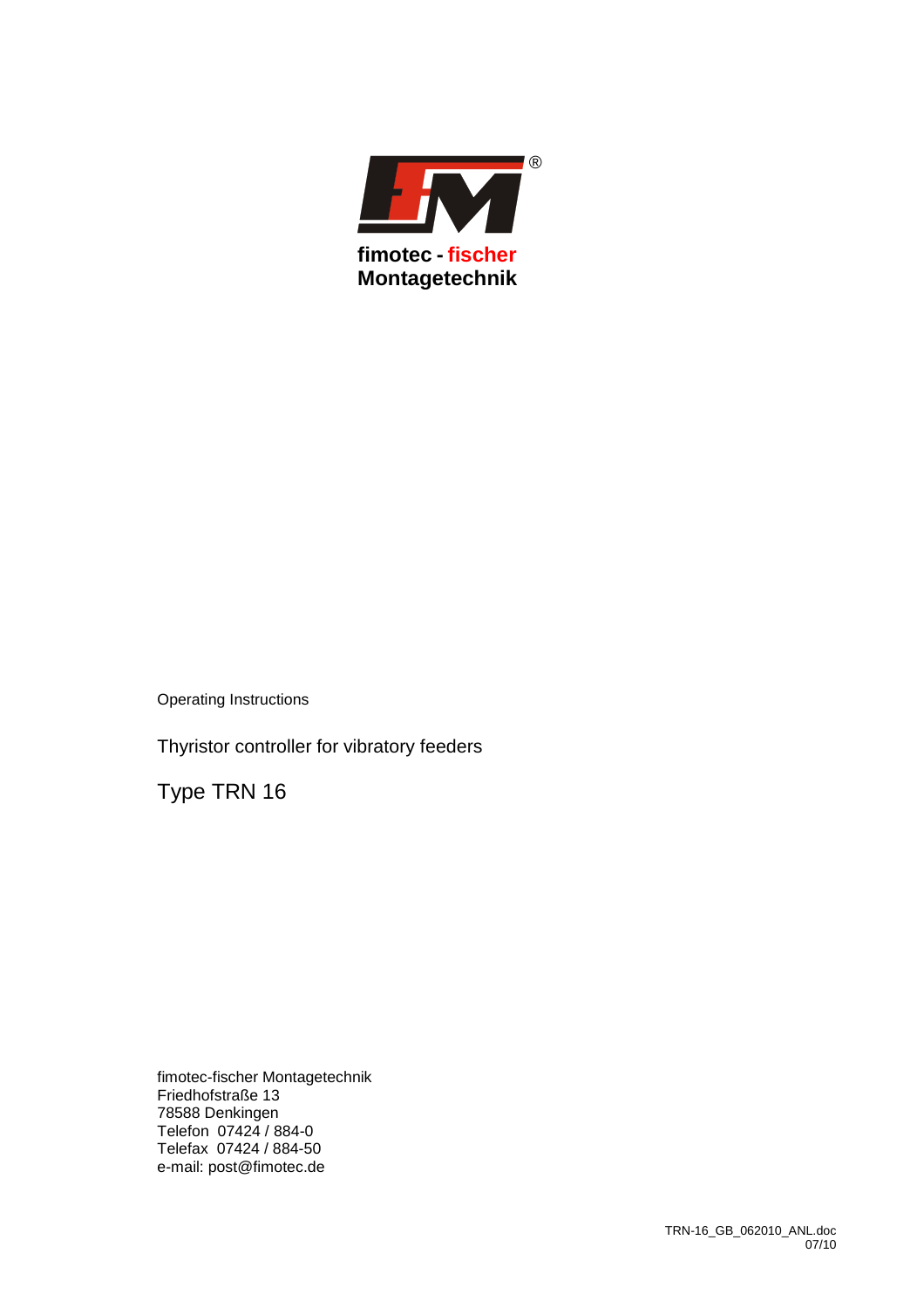

Thyristor controller for vibratory feeders

Type TRN 16

fimotec-fischer Montagetechnik Friedhofstraße 13 78588 Denkingen Telefon 07424 / 884-0 Telefax 07424 / 884-50 e-mail: post@fimotec.de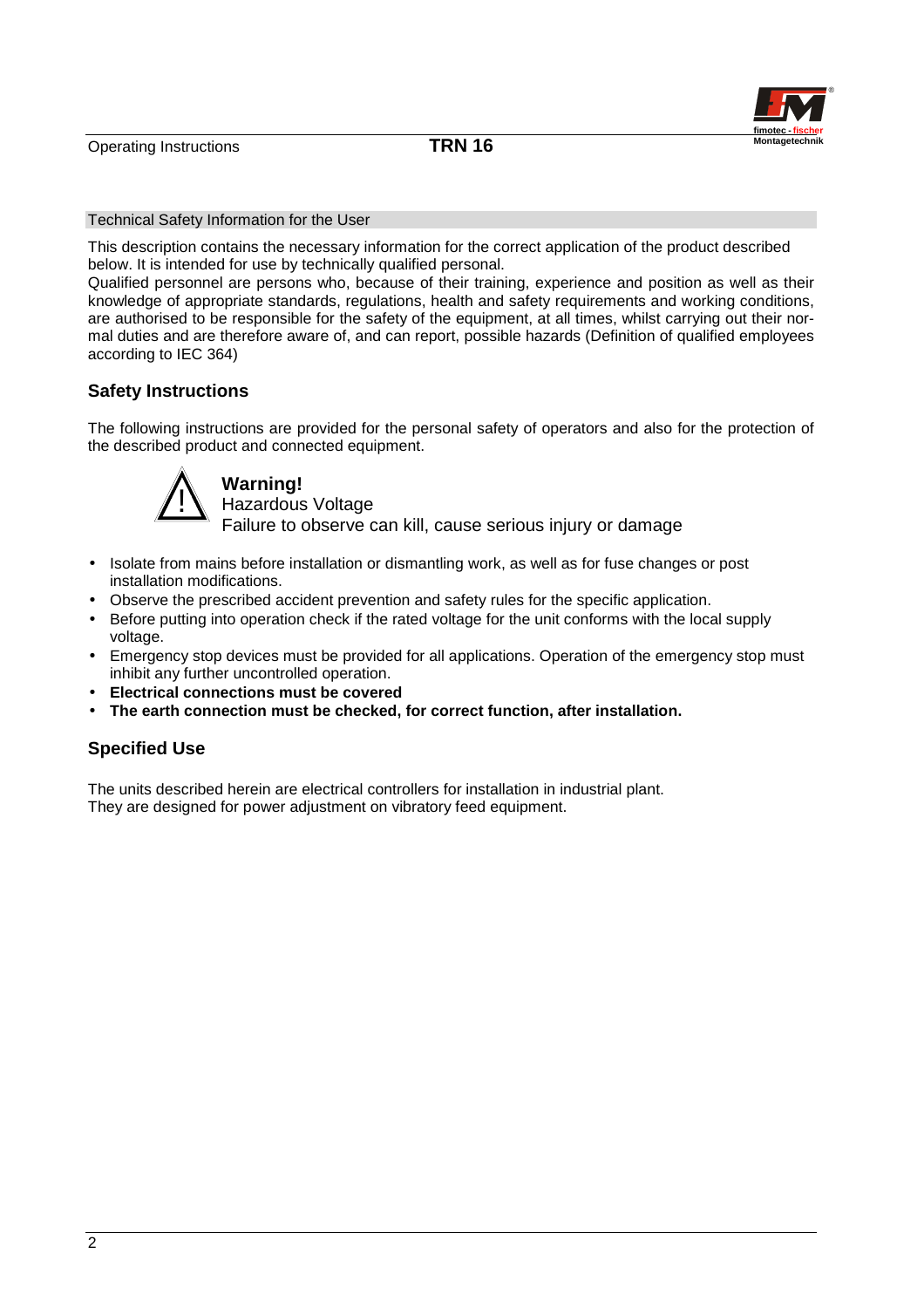

#### Technical Safety Information for the User

This description contains the necessary information for the correct application of the product described below. It is intended for use by technically qualified personal.

Qualified personnel are persons who, because of their training, experience and position as well as their knowledge of appropriate standards, regulations, health and safety requirements and working conditions, are authorised to be responsible for the safety of the equipment, at all times, whilst carrying out their normal duties and are therefore aware of, and can report, possible hazards (Definition of qualified employees according to IEC 364)

# **Safety Instructions**

The following instructions are provided for the personal safety of operators and also for the protection of the described product and connected equipment.



# **Warning!**

Hazardous Voltage Failure to observe can kill, cause serious injury or damage

- Isolate from mains before installation or dismantling work, as well as for fuse changes or post installation modifications.
- Observe the prescribed accident prevention and safety rules for the specific application.
- Before putting into operation check if the rated voltage for the unit conforms with the local supply voltage.
- Emergency stop devices must be provided for all applications. Operation of the emergency stop must inhibit any further uncontrolled operation.
- **Electrical connections must be covered**
- **The earth connection must be checked, for correct function, after installation.**

# **Specified Use**

The units described herein are electrical controllers for installation in industrial plant. They are designed for power adjustment on vibratory feed equipment.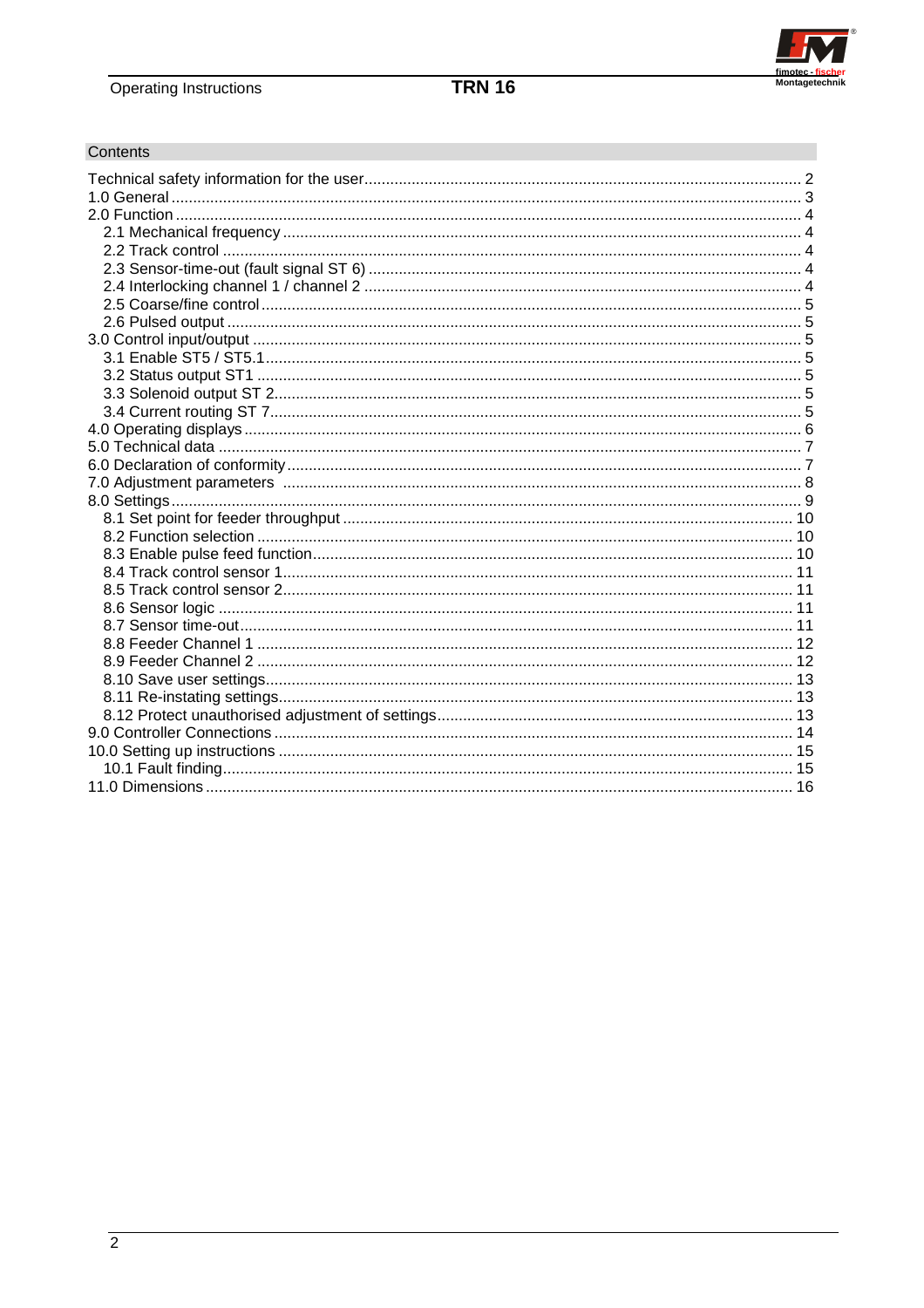

# Contents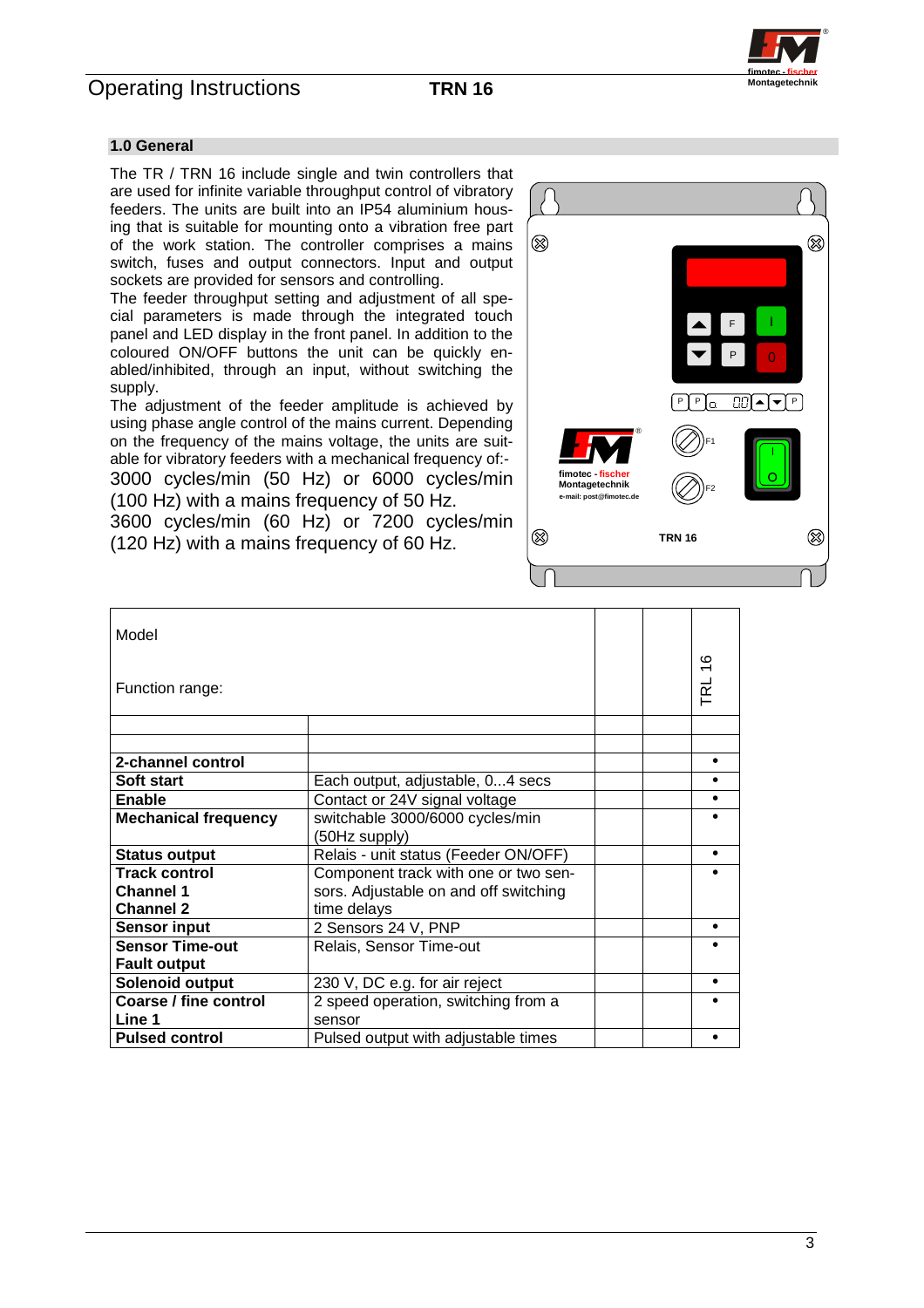

### **1.0 General**

The TR / TRN 16 include single and twin controllers that are used for infinite variable throughput control of vibratory feeders. The units are built into an IP54 aluminium housing that is suitable for mounting onto a vibration free part of the work station. The controller comprises a mains switch, fuses and output connectors. Input and output sockets are provided for sensors and controlling.

The feeder throughput setting and adjustment of all special parameters is made through the integrated touch panel and LED display in the front panel. In addition to the coloured ON/OFF buttons the unit can be quickly enabled/inhibited, through an input, without switching the supply.

The adjustment of the feeder amplitude is achieved by using phase angle control of the mains current. Depending on the frequency of the mains voltage, the units are suitable for vibratory feeders with a mechanical frequency of:- 3000 cycles/min (50 Hz) or 6000 cycles/min (100 Hz) with a mains frequency of 50 Hz.

3600 cycles/min (60 Hz) or 7200 cycles/min (120 Hz) with a mains frequency of 60 Hz.



| Model                       |                                                  |  |        |
|-----------------------------|--------------------------------------------------|--|--------|
| Function range:             |                                                  |  | TRL 16 |
|                             |                                                  |  |        |
| 2-channel control           |                                                  |  | ٠      |
| Soft start                  | Each output, adjustable, 04 secs                 |  |        |
| <b>Enable</b>               | Contact or 24V signal voltage                    |  |        |
| <b>Mechanical frequency</b> | switchable 3000/6000 cycles/min<br>(50Hz supply) |  |        |
| <b>Status output</b>        | Relais - unit status (Feeder ON/OFF)             |  |        |
| <b>Track control</b>        | Component track with one or two sen-             |  |        |
| <b>Channel 1</b>            | sors. Adjustable on and off switching            |  |        |
| <b>Channel 2</b>            | time delays                                      |  |        |
| <b>Sensor input</b>         | 2 Sensors 24 V, PNP                              |  |        |
| <b>Sensor Time-out</b>      | Relais, Sensor Time-out                          |  |        |
| <b>Fault output</b>         |                                                  |  |        |
| Solenoid output             | 230 V, DC e.g. for air reject                    |  |        |
| Coarse / fine control       | 2 speed operation, switching from a              |  |        |
| Line 1                      | sensor                                           |  |        |
| <b>Pulsed control</b>       | Pulsed output with adjustable times              |  |        |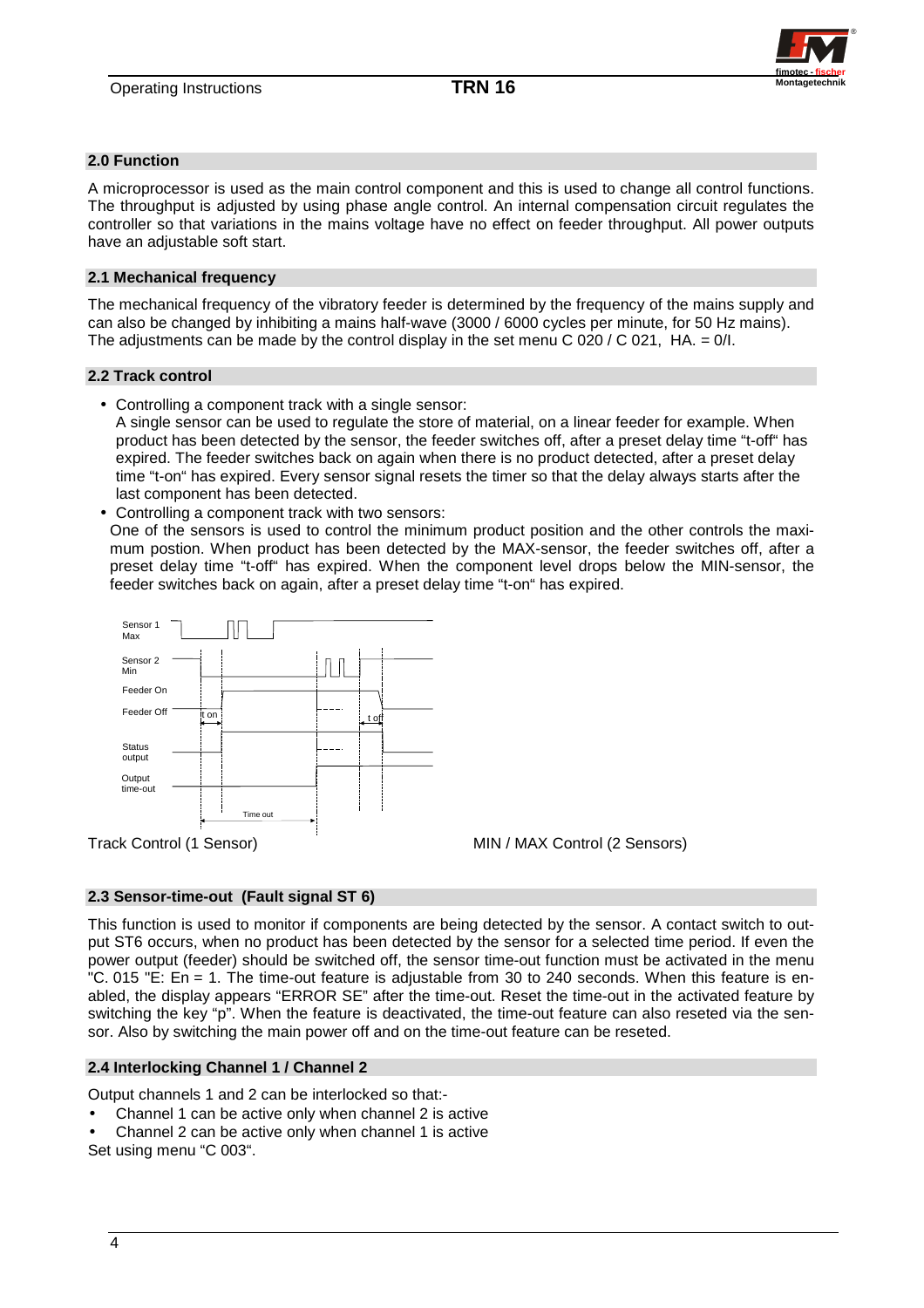

## **2.0 Function**

A microprocessor is used as the main control component and this is used to change all control functions. The throughput is adjusted by using phase angle control. An internal compensation circuit regulates the controller so that variations in the mains voltage have no effect on feeder throughput. All power outputs have an adjustable soft start.

### **2.1 Mechanical frequency**

The mechanical frequency of the vibratory feeder is determined by the frequency of the mains supply and can also be changed by inhibiting a mains half-wave (3000 / 6000 cycles per minute, for 50 Hz mains). The adjustments can be made by the control display in the set menu C 020 / C 021, HA. =  $0/l$ .

## **2.2 Track control**

• Controlling a component track with a single sensor:

A single sensor can be used to regulate the store of material, on a linear feeder for example. When product has been detected by the sensor, the feeder switches off, after a preset delay time "t-off" has expired. The feeder switches back on again when there is no product detected, after a preset delay time "t-on" has expired. Every sensor signal resets the timer so that the delay always starts after the last component has been detected.

• Controlling a component track with two sensors:

 One of the sensors is used to control the minimum product position and the other controls the maximum postion. When product has been detected by the MAX-sensor, the feeder switches off, after a preset delay time "t-off" has expired. When the component level drops below the MIN-sensor, the feeder switches back on again, after a preset delay time "t-on" has expired.



# **2.3 Sensor-time-out (Fault signal ST 6)**

This function is used to monitor if components are being detected by the sensor. A contact switch to output ST6 occurs, when no product has been detected by the sensor for a selected time period. If even the power output (feeder) should be switched off, the sensor time-out function must be activated in the menu "C. 015 "E: En = 1. The time-out feature is adjustable from 30 to 240 seconds. When this feature is enabled, the display appears "ERROR SE" after the time-out. Reset the time-out in the activated feature by switching the key "p". When the feature is deactivated, the time-out feature can also reseted via the sensor. Also by switching the main power off and on the time-out feature can be reseted.

### **2.4 Interlocking Channel 1 / Channel 2**

Output channels 1 and 2 can be interlocked so that:-

- Channel 1 can be active only when channel 2 is active
- Channel 2 can be active only when channel 1 is active

Set using menu "C 003".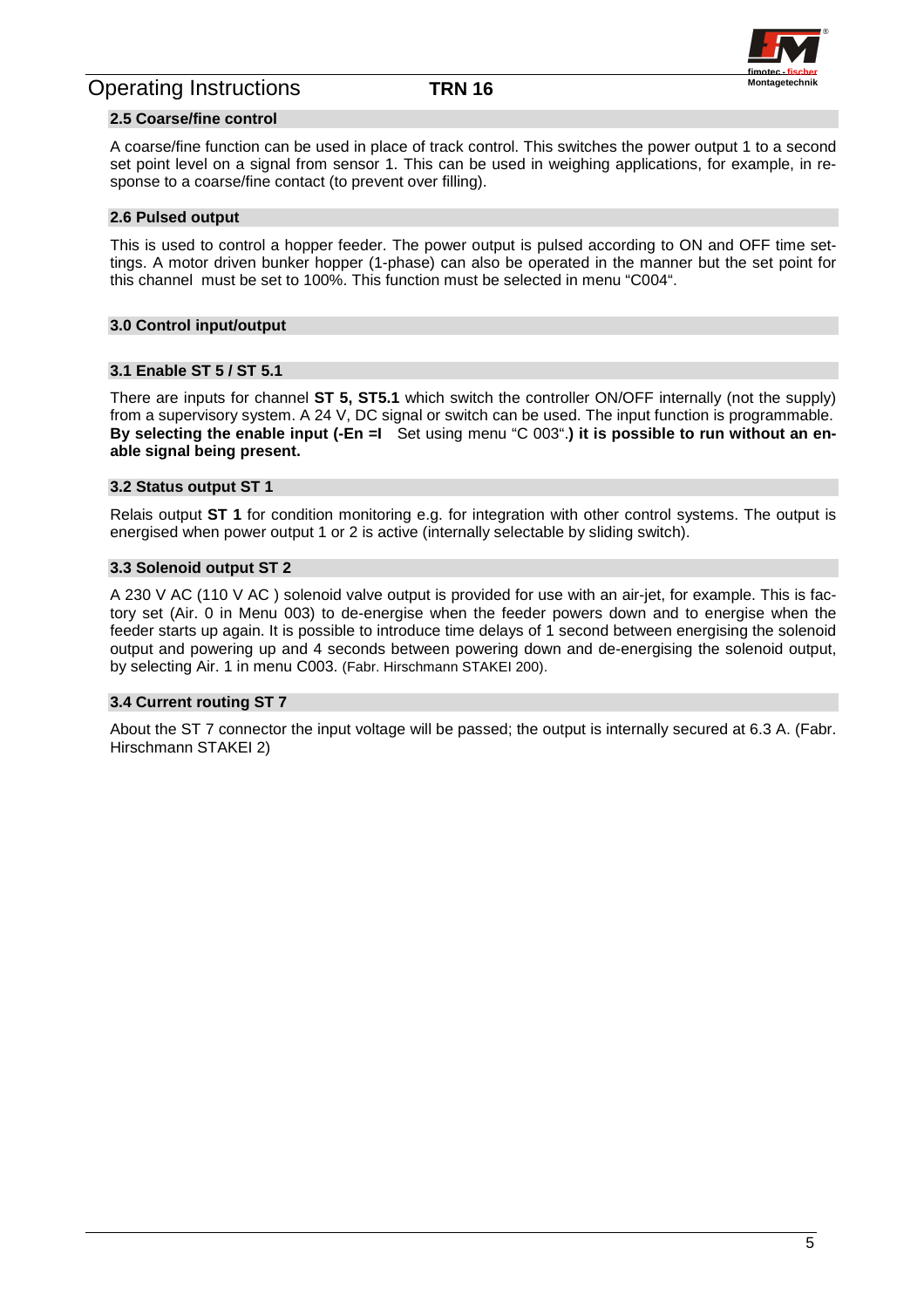

### **2.5 Coarse/fine control**

A coarse/fine function can be used in place of track control. This switches the power output 1 to a second set point level on a signal from sensor 1. This can be used in weighing applications, for example, in response to a coarse/fine contact (to prevent over filling).

### **2.6 Pulsed output**

This is used to control a hopper feeder. The power output is pulsed according to ON and OFF time settings. A motor driven bunker hopper (1-phase) can also be operated in the manner but the set point for this channel must be set to 100%. This function must be selected in menu "C004".

### **3.0 Control input/output**

# **3.1 Enable ST 5 / ST 5.1**

There are inputs for channel **ST 5, ST5.1** which switch the controller ON/OFF internally (not the supply) from a supervisory system. A 24 V, DC signal or switch can be used. The input function is programmable. **By selecting the enable input (-En =I** Set using menu "C 003".**) it is possible to run without an enable signal being present.** 

#### **3.2 Status output ST 1**

Relais output **ST 1** for condition monitoring e.g. for integration with other control systems. The output is energised when power output 1 or 2 is active (internally selectable by sliding switch).

### **3.3 Solenoid output ST 2**

A 230 V AC (110 V AC ) solenoid valve output is provided for use with an air-jet, for example. This is factory set (Air. 0 in Menu 003) to de-energise when the feeder powers down and to energise when the feeder starts up again. It is possible to introduce time delays of 1 second between energising the solenoid output and powering up and 4 seconds between powering down and de-energising the solenoid output, by selecting Air. 1 in menu C003. (Fabr. Hirschmann STAKEI 200).

#### **3.4 Current routing ST 7**

About the ST 7 connector the input voltage will be passed; the output is internally secured at 6.3 A. (Fabr. Hirschmann STAKEI 2)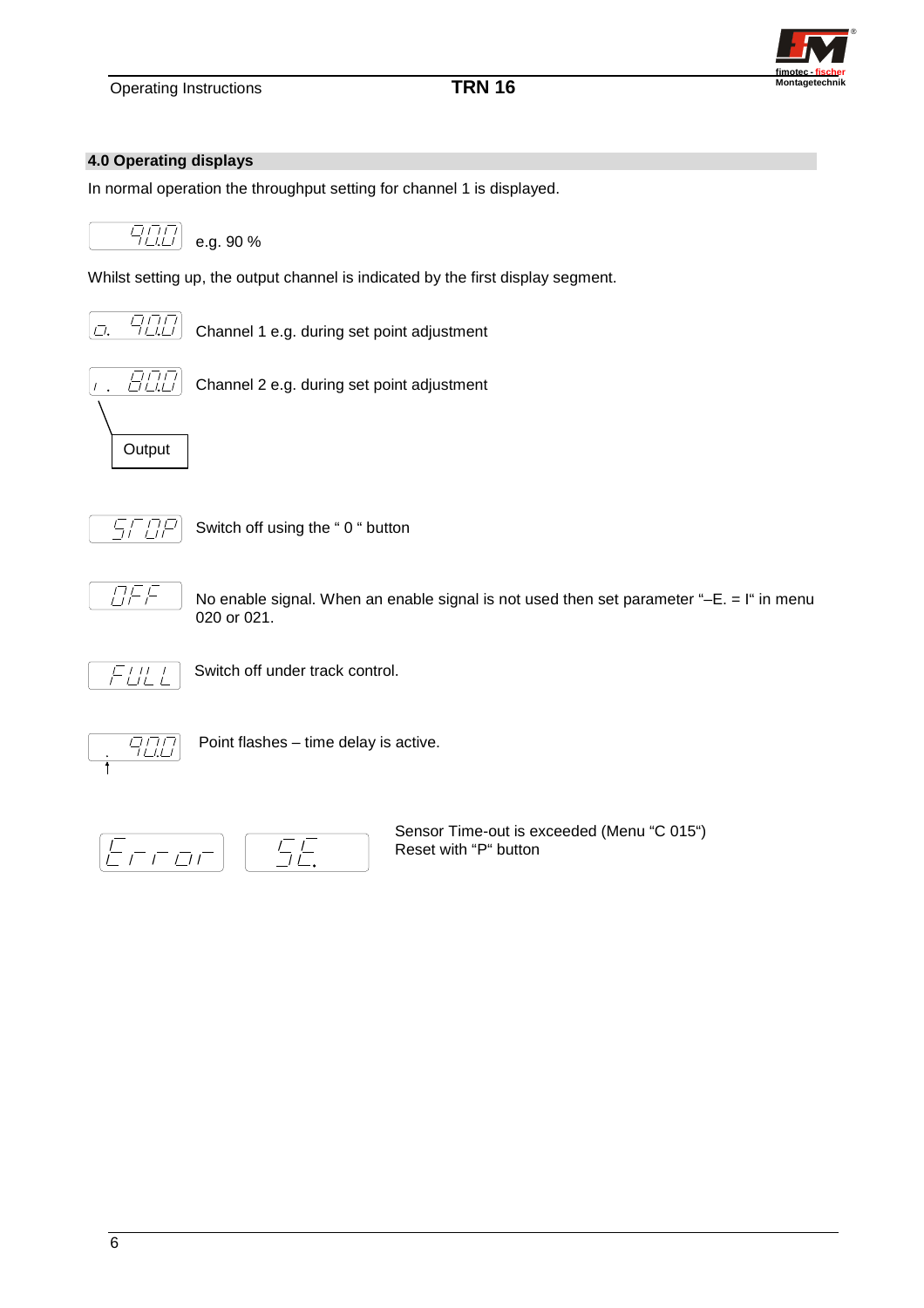

## **4.0 Operating displays**

In normal operation the throughput setting for channel 1 is displayed.



Whilst setting up, the output channel is indicated by the first display segment.



Channel 1 e.g. during set point adjustment



Channel 2 e.g. during set point adjustment



Switch off using the " 0 " button



No enable signal. When an enable signal is not used then set parameter " $-E = I$ " in menu 020 or 021.



Switch off under track control.



Point flashes – time delay is active.



Sensor Time-out is exceeded (Menu "C 015") Reset with "P" button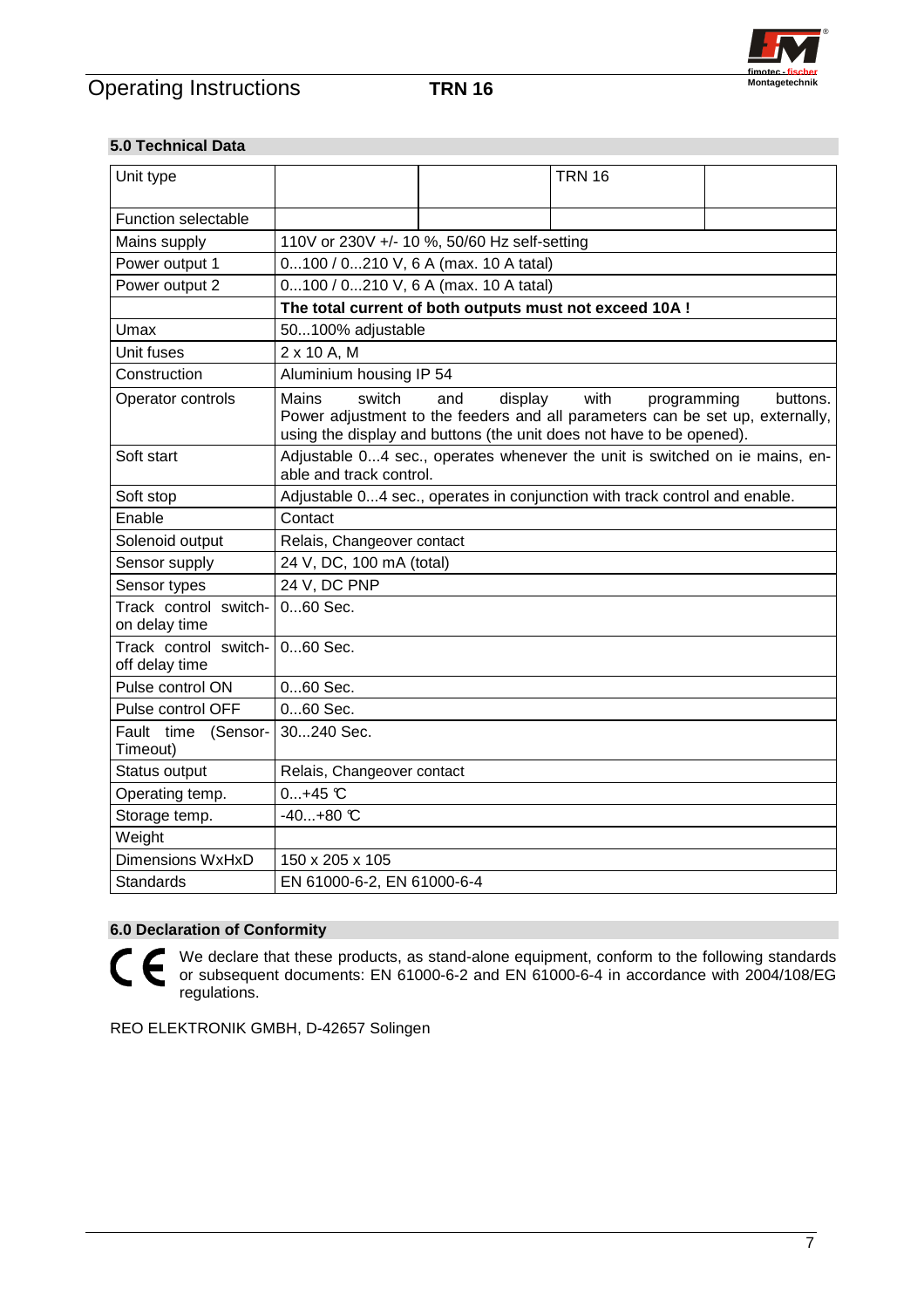

# **5.0 Technical Data**

| Unit type                               |                                                                                                        |                                              | <b>TRN 16</b>                                                                                                                                                 |                         |  |  |  |
|-----------------------------------------|--------------------------------------------------------------------------------------------------------|----------------------------------------------|---------------------------------------------------------------------------------------------------------------------------------------------------------------|-------------------------|--|--|--|
| <b>Function selectable</b>              |                                                                                                        |                                              |                                                                                                                                                               |                         |  |  |  |
| Mains supply                            |                                                                                                        | 110V or 230V +/- 10 %, 50/60 Hz self-setting |                                                                                                                                                               |                         |  |  |  |
| Power output 1                          | 0100 / 0210 V, 6 A (max. 10 A tatal)                                                                   |                                              |                                                                                                                                                               |                         |  |  |  |
| Power output 2                          | 0100 / 0210 V, 6 A (max. 10 A tatal)                                                                   |                                              |                                                                                                                                                               |                         |  |  |  |
|                                         | The total current of both outputs must not exceed 10A !                                                |                                              |                                                                                                                                                               |                         |  |  |  |
| Umax                                    |                                                                                                        | 50100% adjustable                            |                                                                                                                                                               |                         |  |  |  |
| Unit fuses                              | 2 x 10 A, M                                                                                            |                                              |                                                                                                                                                               |                         |  |  |  |
| Construction                            | Aluminium housing IP 54                                                                                |                                              |                                                                                                                                                               |                         |  |  |  |
| Operator controls                       | <b>Mains</b><br>switch                                                                                 | display<br>and                               | with<br>Power adjustment to the feeders and all parameters can be set up, externally,<br>using the display and buttons (the unit does not have to be opened). | programming<br>buttons. |  |  |  |
| Soft start                              | Adjustable 04 sec., operates whenever the unit is switched on ie mains, en-<br>able and track control. |                                              |                                                                                                                                                               |                         |  |  |  |
| Soft stop                               |                                                                                                        |                                              | Adjustable 04 sec., operates in conjunction with track control and enable.                                                                                    |                         |  |  |  |
| Enable                                  | Contact                                                                                                |                                              |                                                                                                                                                               |                         |  |  |  |
| Solenoid output                         | Relais, Changeover contact                                                                             |                                              |                                                                                                                                                               |                         |  |  |  |
| Sensor supply                           | 24 V, DC, 100 mA (total)                                                                               |                                              |                                                                                                                                                               |                         |  |  |  |
| Sensor types                            | 24 V, DC PNP                                                                                           |                                              |                                                                                                                                                               |                         |  |  |  |
| Track control switch-<br>on delay time  | 060 Sec.                                                                                               |                                              |                                                                                                                                                               |                         |  |  |  |
| Track control switch-<br>off delay time | $060$ Sec.                                                                                             |                                              |                                                                                                                                                               |                         |  |  |  |
| Pulse control ON                        | 060 Sec.                                                                                               |                                              |                                                                                                                                                               |                         |  |  |  |
| Pulse control OFF                       | 060 Sec.                                                                                               |                                              |                                                                                                                                                               |                         |  |  |  |
| Fault time<br>(Sensor-<br>Timeout)      | 30240 Sec.                                                                                             |                                              |                                                                                                                                                               |                         |  |  |  |
| Status output                           | Relais, Changeover contact                                                                             |                                              |                                                                                                                                                               |                         |  |  |  |
| Operating temp.                         | $0+45$ °C                                                                                              |                                              |                                                                                                                                                               |                         |  |  |  |
| Storage temp.                           | $-40+80$ °C                                                                                            |                                              |                                                                                                                                                               |                         |  |  |  |
| Weight                                  |                                                                                                        |                                              |                                                                                                                                                               |                         |  |  |  |
| Dimensions WxHxD                        | 150 x 205 x 105                                                                                        |                                              |                                                                                                                                                               |                         |  |  |  |
| <b>Standards</b>                        | EN 61000-6-2, EN 61000-6-4                                                                             |                                              |                                                                                                                                                               |                         |  |  |  |

# **6.0 Declaration of Conformity**

CE We declare that these products, as stand-alone equipment, conform to the following standards or subsequent documents: EN 61000-6-2 and EN 61000-6-4 in accordance with 2004/108/EG regulations.

REO ELEKTRONIK GMBH, D-42657 Solingen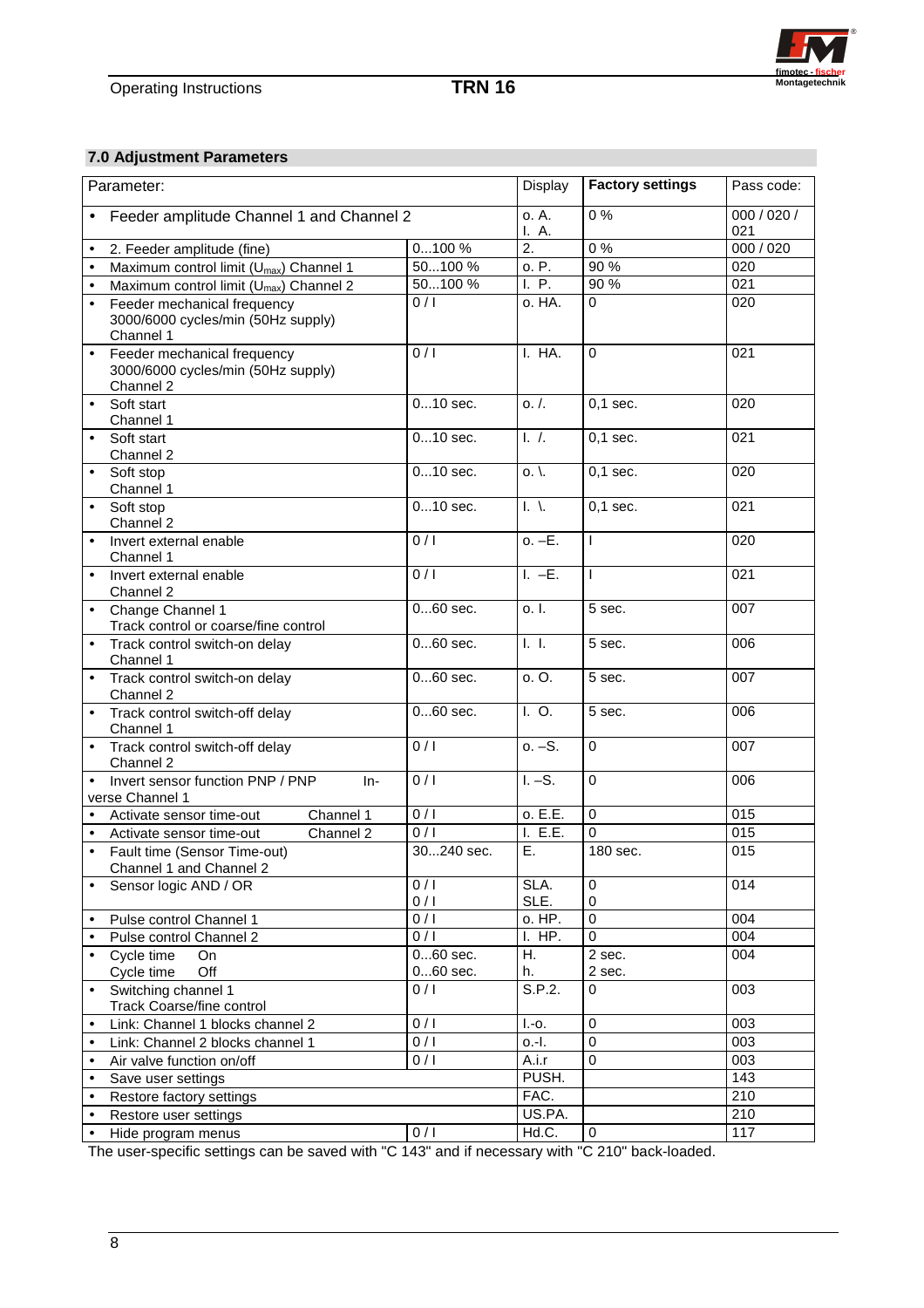

# **7.0 Adjustment Parameters**

| Parameter: |                                                                                | Display          | <b>Factory settings</b> | Pass code:               |                    |
|------------|--------------------------------------------------------------------------------|------------------|-------------------------|--------------------------|--------------------|
|            | Feeder amplitude Channel 1 and Channel 2                                       |                  | o. A.<br>I. A.          | $\overline{0\%}$         | 000 / 020 /<br>021 |
| $\bullet$  | 2. Feeder amplitude (fine)                                                     | 0100%            | 2.                      | $0\%$                    | 000 / 020          |
| $\bullet$  | Maximum control limit (U <sub>max</sub> ) Channel 1                            | 50100 %          | o. P.                   | 90 %                     | $\overline{020}$   |
| $\bullet$  | Maximum control limit (U <sub>max</sub> ) Channel 2                            | 50100 %          | I. P.                   | 90 %                     | $\overline{021}$   |
| $\bullet$  | Feeder mechanical frequency<br>3000/6000 cycles/min (50Hz supply)<br>Channel 1 | 0/1              | o. HA.                  | $\mathbf 0$              | 020                |
| $\bullet$  | Feeder mechanical frequency<br>3000/6000 cycles/min (50Hz supply)<br>Channel 2 | $\overline{0/1}$ | I. HA.                  | $\Omega$                 | 021                |
| $\bullet$  | Soft start<br>Channel 1                                                        | $010$ sec.       | 0. /                    | $0,1$ sec.               | 020                |
| $\bullet$  | Soft start<br>Channel 2                                                        | $010$ sec.       | $\overline{1.7}$ .      | $0,1$ sec.               | 021                |
| $\bullet$  | Soft stop<br>Channel 1                                                         | $010$ sec.       | $0.$ .                  | $0,1$ sec.               | 020                |
| $\bullet$  | Soft stop<br>Channel 2                                                         | $010$ sec.       | $\mathsf{L}$            | $0.1$ sec.               | 021                |
|            | Invert external enable<br>Channel 1                                            | 0/1              | $o. -E.$                | $\overline{\phantom{a}}$ | 020                |
| $\bullet$  | Invert external enable<br>Channel 2                                            | $\overline{0/1}$ | $L - E$ .               | $\mathbf{I}$             | 021                |
| $\bullet$  | Change Channel 1<br>Track control or coarse/fine control                       | $060$ sec.       | o. I.                   | 5 sec.                   | 007                |
| $\bullet$  | Track control switch-on delay<br>Channel 1                                     | $060$ sec.       | ī. I.                   | 5 sec.                   | 006                |
| $\bullet$  | Track control switch-on delay<br>Channel 2                                     | $060$ sec.       | o. O.                   | 5 sec.                   | 007                |
| $\bullet$  | Track control switch-off delay<br>Channel 1                                    | $060$ sec.       | I. O.                   | 5 sec.                   | 006                |
|            | Track control switch-off delay<br>Channel 2                                    | 0/1              | $0. -S.$                | $\mathbf 0$              | 007                |
|            | Invert sensor function PNP / PNP<br>$In-$<br>verse Channel 1                   | $\overline{0/1}$ | $I. -S.$                | $\Omega$                 | 006                |
| $\bullet$  | Channel 1<br>Activate sensor time-out                                          | 0/1              | o. E.E.                 | $\mathbf 0$              | 015                |
| $\bullet$  | Channel 2<br>Activate sensor time-out                                          | 0/1              | I. E.E.                 | $\mathbf 0$              | 015                |
|            | Fault time (Sensor Time-out)<br>Channel 1 and Channel 2                        | 30240 sec.       | Ε.                      | 180 sec.                 | 015                |
|            | Sensor logic AND / OR                                                          | 0/1<br>0/1       | SLA.<br>SLE.            | 0<br>0                   | 014                |
| $\bullet$  | Pulse control Channel 1                                                        | 0/1              | o. HP.                  | $\pmb{0}$                | 004                |
| $\bullet$  | Pulse control Channel 2                                                        | 0/1              | I. HP.                  | 0                        | 004                |
| $\bullet$  | Cycle time<br>On                                                               | $060$ sec.       | Η.                      | 2 sec.                   | 004                |
|            | Cycle time<br>Off                                                              | $060$ sec.       | h.                      | 2 sec.                   |                    |
|            | Switching channel 1<br><b>Track Coarse/fine control</b>                        | 0/1              | S.P.2.                  | 0                        | 003                |
| $\bullet$  | Link: Channel 1 blocks channel 2                                               | 0/1              | $I.-o.$                 | $\pmb{0}$                | 003                |
| $\bullet$  | Link: Channel 2 blocks channel 1                                               | 0/1              | o.-I.                   | 0                        | $\overline{003}$   |
| $\bullet$  | Air valve function on/off                                                      | 0/1              | A.i.r                   | 0                        | 003                |
| $\bullet$  | Save user settings                                                             |                  | PUSH.                   |                          | 143                |
| $\bullet$  | Restore factory settings                                                       |                  | FAC.                    |                          | 210                |
| $\bullet$  | Restore user settings                                                          |                  | US.PA.                  |                          | 210                |
| $\bullet$  | Hide program menus                                                             | 0/1              | Hd.C.                   | 0                        | 117                |

The user-specific settings can be saved with "C 143" and if necessary with "C 210" back-loaded.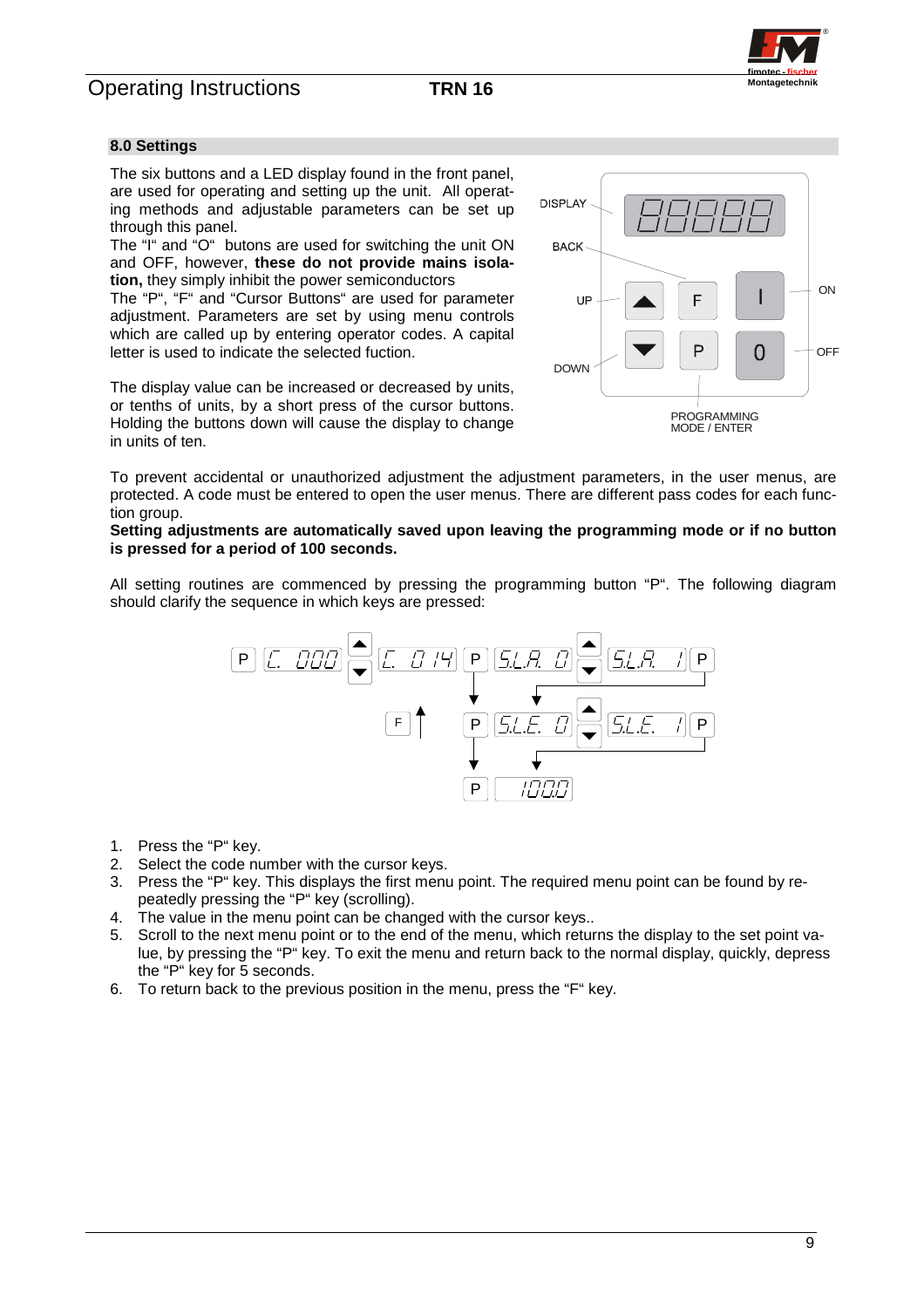

### **8.0 Settings**

The six buttons and a LED display found in the front panel, are used for operating and setting up the unit. All operating methods and adjustable parameters can be set up through this panel.

The "I" and "O" butons are used for switching the unit ON and OFF, however, **these do not provide mains isolation,** they simply inhibit the power semiconductors

The "P", "F" and "Cursor Buttons" are used for parameter adjustment. Parameters are set by using menu controls which are called up by entering operator codes. A capital letter is used to indicate the selected fuction.

The display value can be increased or decreased by units, or tenths of units, by a short press of the cursor buttons. Holding the buttons down will cause the display to change in units of ten.



To prevent accidental or unauthorized adjustment the adjustment parameters, in the user menus, are protected. A code must be entered to open the user menus. There are different pass codes for each function group.

#### **Setting adjustments are automatically saved upon leaving the programming mode or if no button is pressed for a period of 100 seconds.**

All setting routines are commenced by pressing the programming button "P". The following diagram should clarify the sequence in which keys are pressed:



- 1. Press the "P" key.
- 2. Select the code number with the cursor keys.
- 3. Press the "P" key. This displays the first menu point. The required menu point can be found by repeatedly pressing the "P" key (scrolling).
- 4. The value in the menu point can be changed with the cursor keys..
- 5. Scroll to the next menu point or to the end of the menu, which returns the display to the set point value, by pressing the "P" key. To exit the menu and return back to the normal display, quickly, depress the "P" key for 5 seconds.
- 6. To return back to the previous position in the menu, press the "F" key.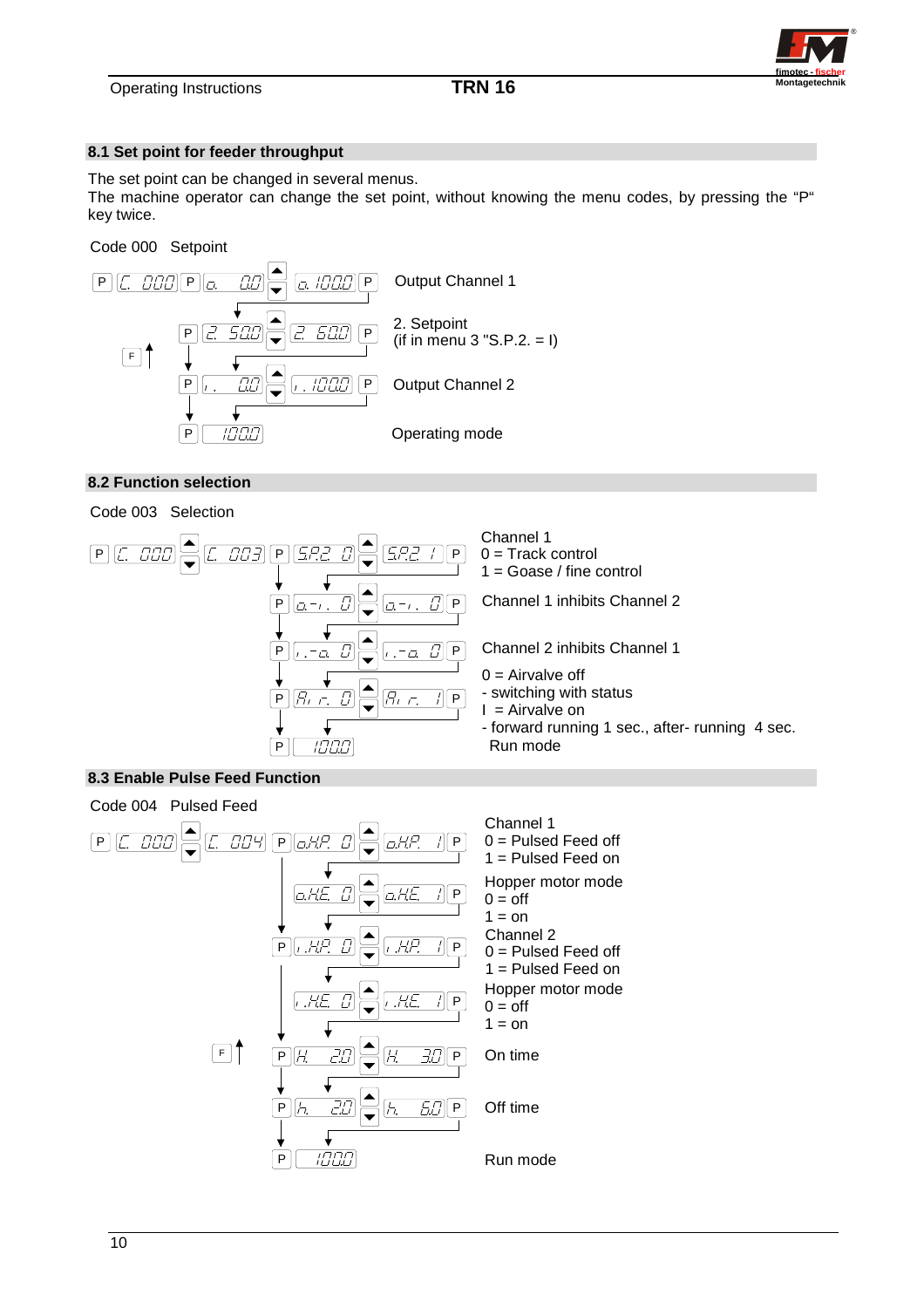

### **8.1 Set point for feeder throughput**

The set point can be changed in several menus.

The machine operator can change the set point, without knowing the menu codes, by pressing the "P" key twice.

Code 000 Setpoint



### **8.2 Function selection**





### **8.3 Enable Pulse Feed Function**

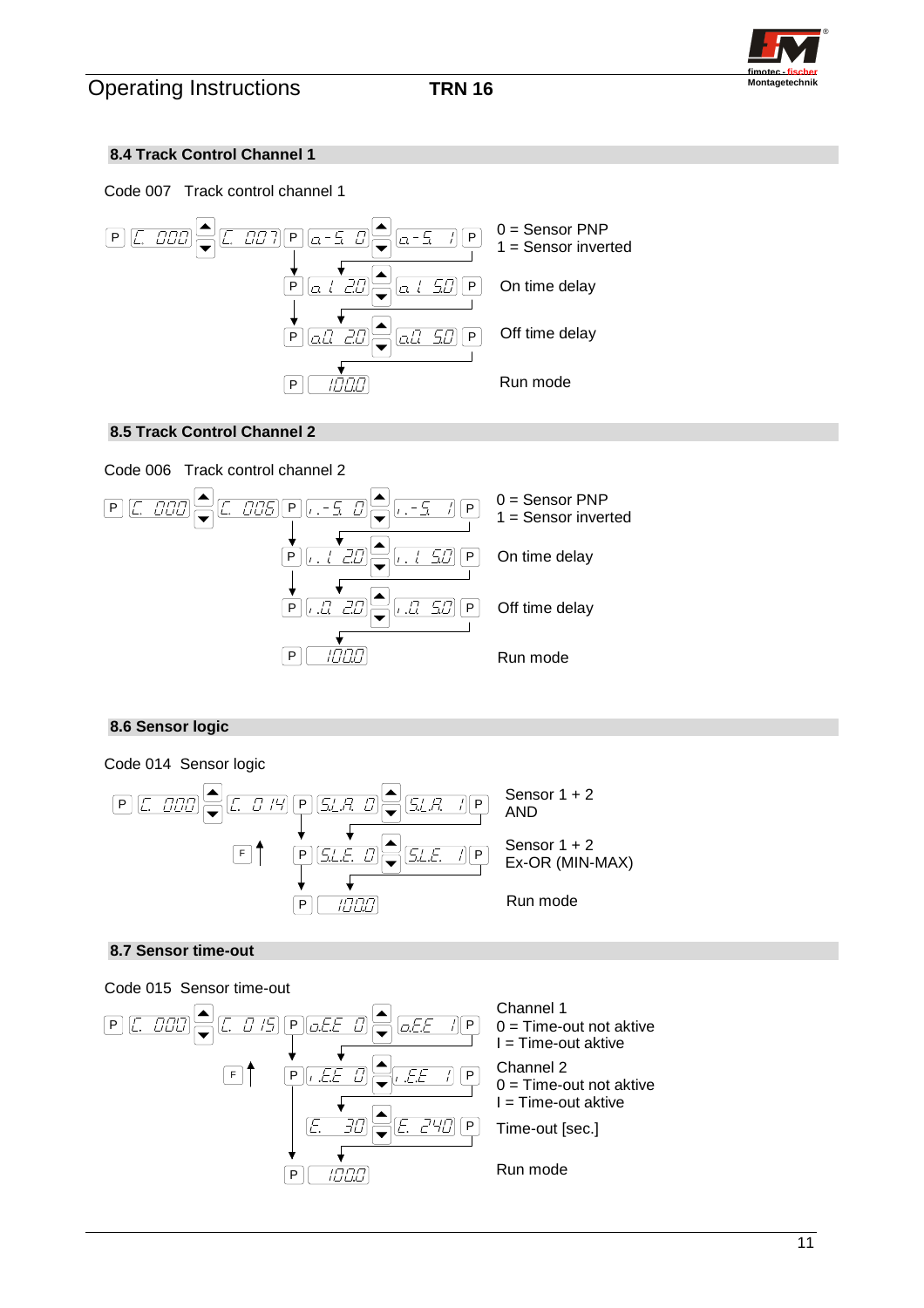

# **8.4 Track Control Channel 1**





# **8.5 Track Control Channel 2**



# **8.6 Sensor logic**



# **8.7 Sensor time-out**

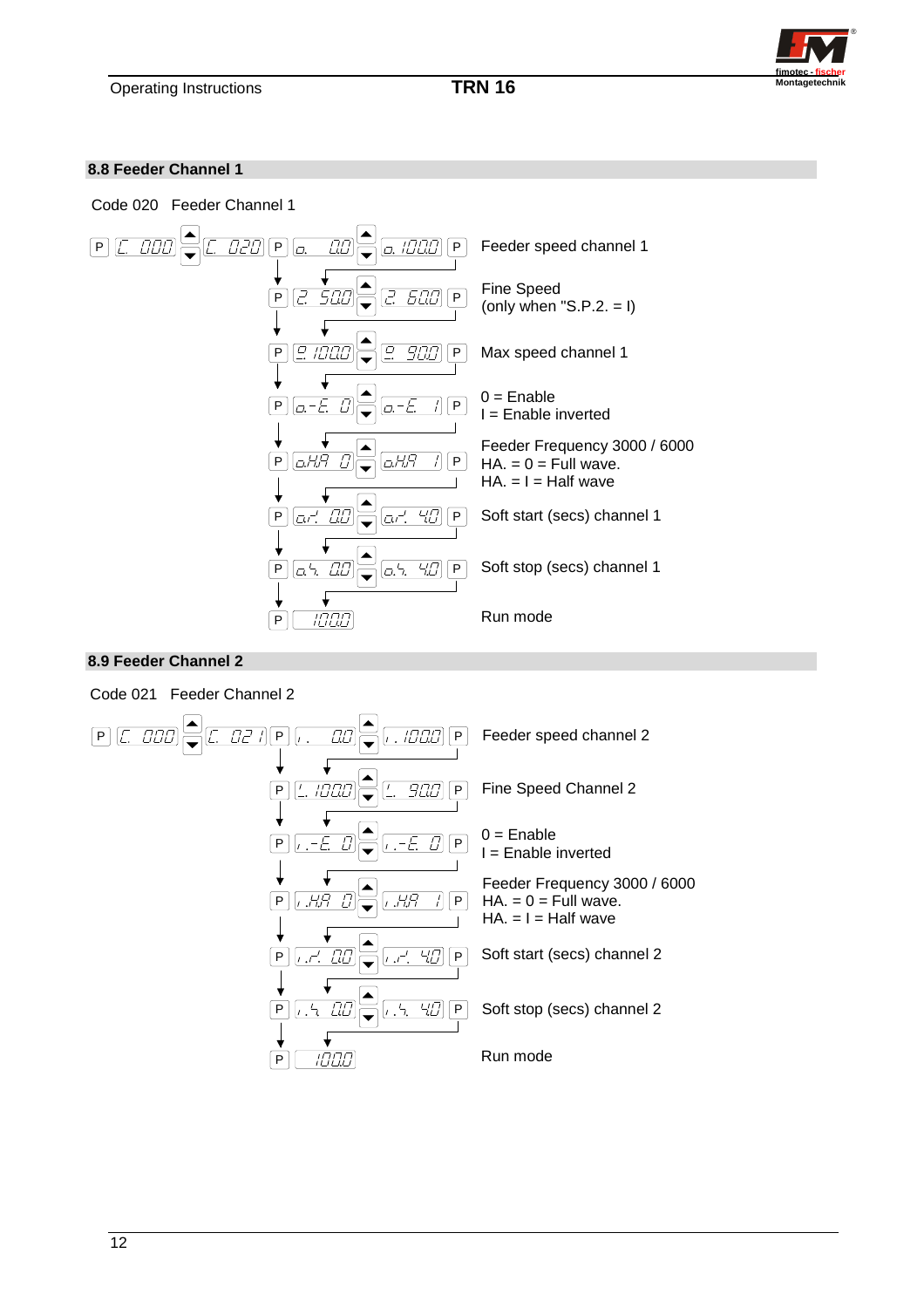

### **8.8 Feeder Channel 1**



## **8.9 Feeder Channel 2**

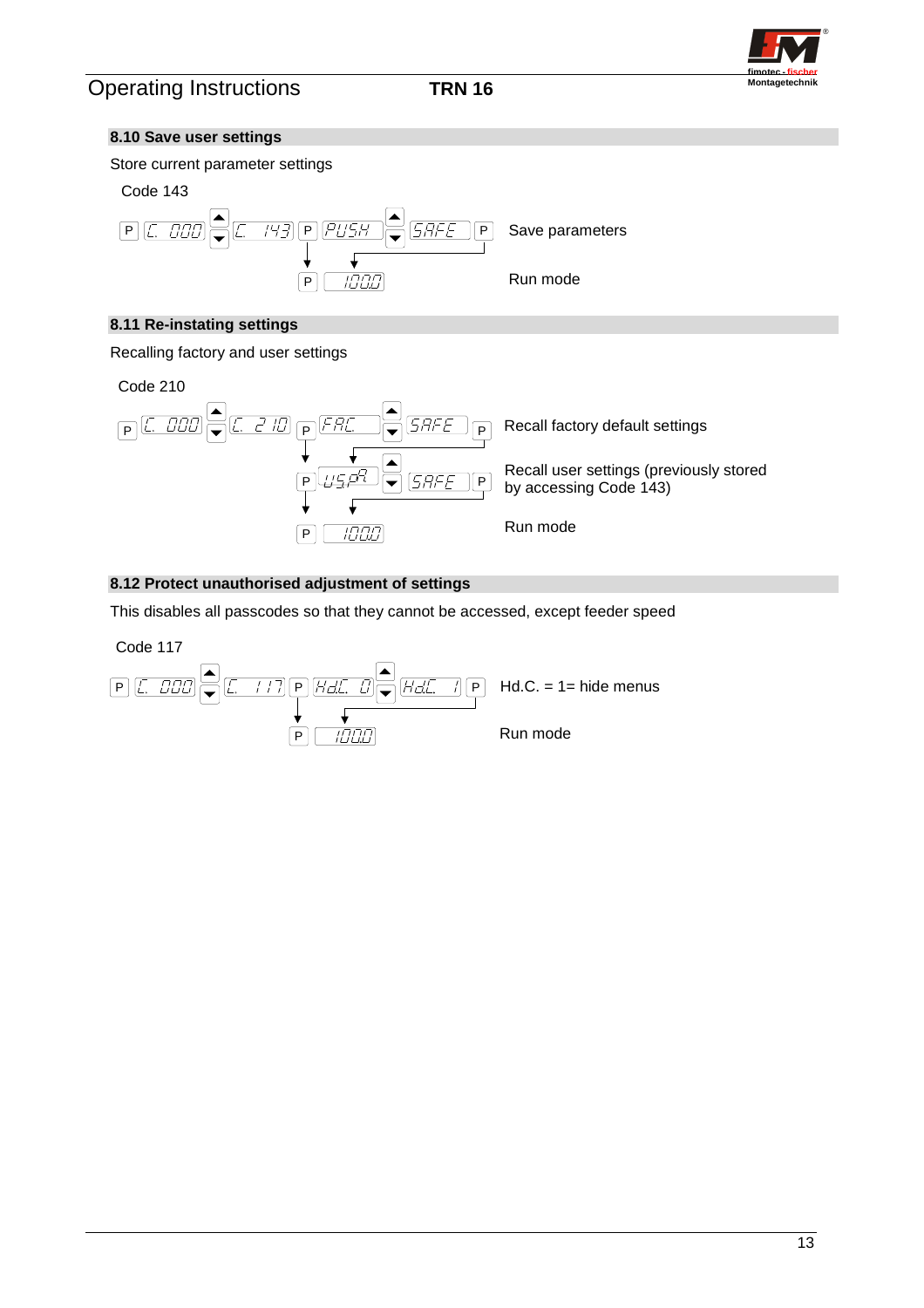

### **8.10 Save user settings**





## **8.11 Re-instating settings**

Recalling factory and user settings



# **8.12 Protect unauthorised adjustment of settings**

This disables all passcodes so that they cannot be accessed, except feeder speed

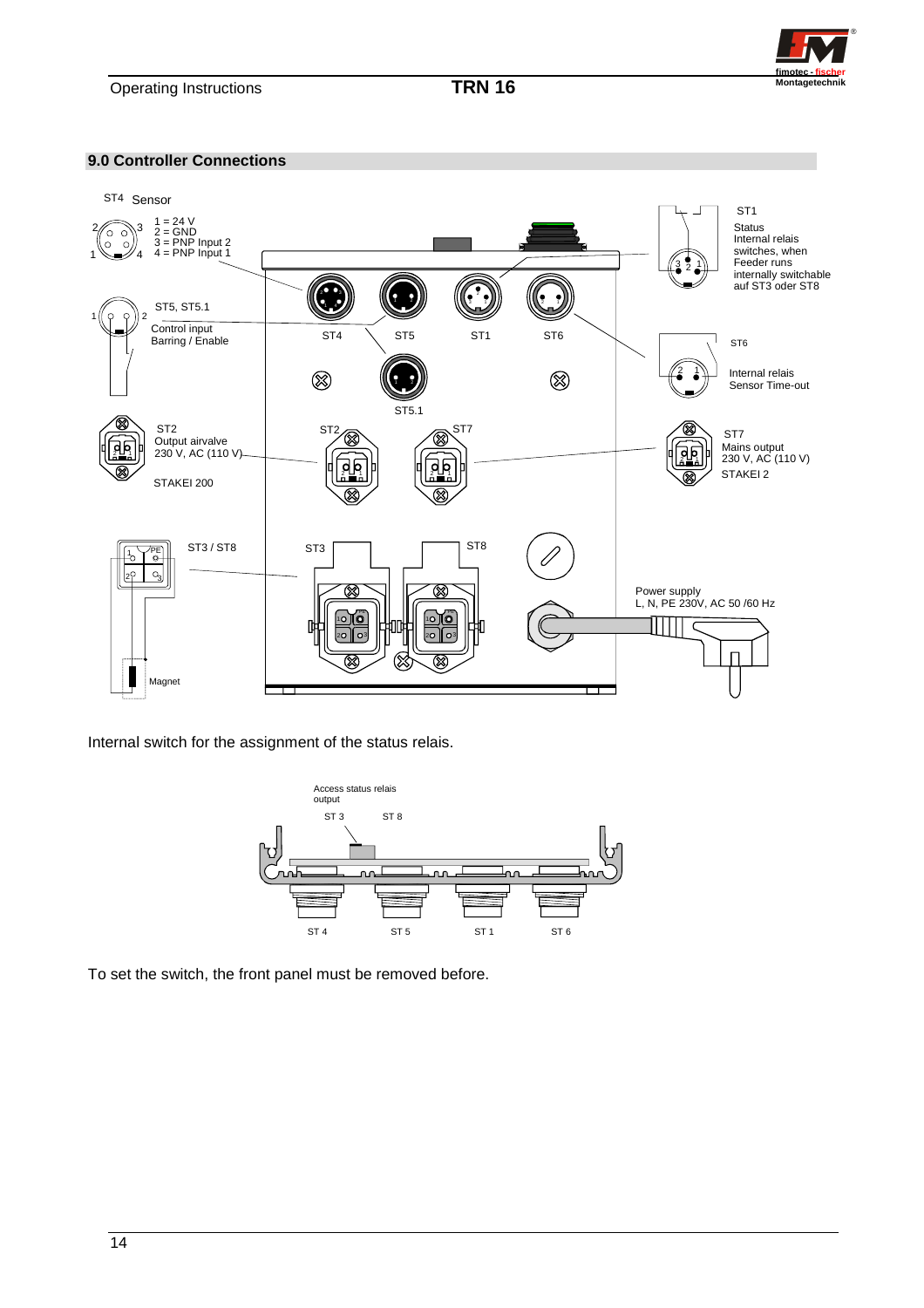

**9.0 Controller Connections** 



Internal switch for the assignment of the status relais.



To set the switch, the front panel must be removed before.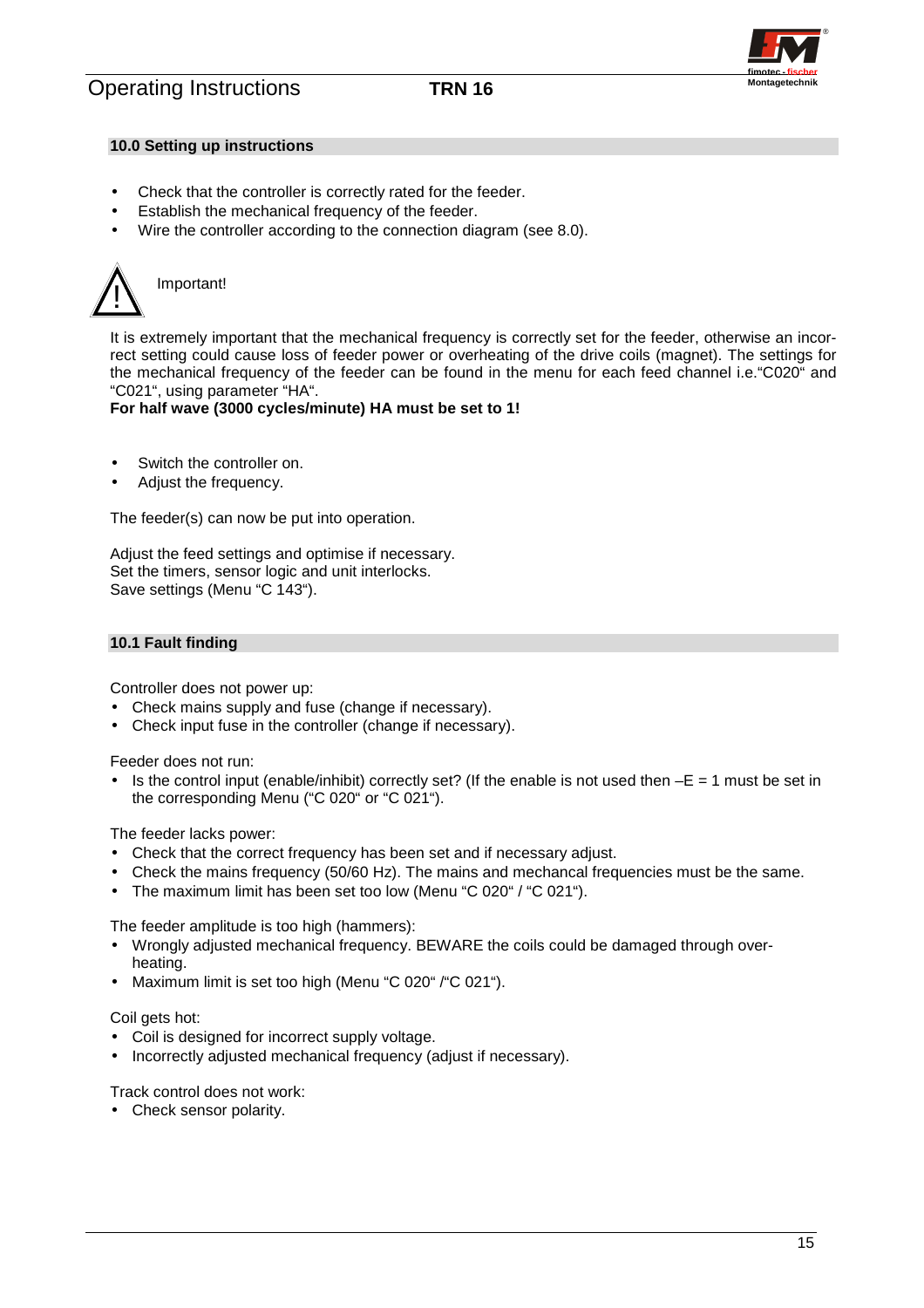

### **10.0 Setting up instructions**

- Check that the controller is correctly rated for the feeder.
- Establish the mechanical frequency of the feeder.
- Wire the controller according to the connection diagram (see 8.0).



It is extremely important that the mechanical frequency is correctly set for the feeder, otherwise an incorrect setting could cause loss of feeder power or overheating of the drive coils (magnet). The settings for the mechanical frequency of the feeder can be found in the menu for each feed channel i.e."C020" and "C021", using parameter "HA".

### **For half wave (3000 cycles/minute) HA must be set to 1!**

- Switch the controller on.
- Adjust the frequency.

The feeder(s) can now be put into operation.

Adjust the feed settings and optimise if necessary. Set the timers, sensor logic and unit interlocks. Save settings (Menu "C 143").

### **10.1 Fault finding**

Controller does not power up:

- Check mains supply and fuse (change if necessary).
- Check input fuse in the controller (change if necessary).

Feeder does not run:

Is the control input (enable/inhibit) correctly set? (If the enable is not used then  $-E = 1$  must be set in the corresponding Menu ("C 020" or "C 021").

The feeder lacks power:

- Check that the correct frequency has been set and if necessary adjust.
- Check the mains frequency (50/60 Hz). The mains and mechancal frequencies must be the same.
- The maximum limit has been set too low (Menu "C 020" / "C 021").

The feeder amplitude is too high (hammers):

- Wrongly adjusted mechanical frequency. BEWARE the coils could be damaged through overheating.
- Maximum limit is set too high (Menu "C 020" / "C 021").

Coil gets hot:

- Coil is designed for incorrect supply voltage.
- Incorrectly adjusted mechanical frequency (adjust if necessary).

Track control does not work:

• Check sensor polarity.